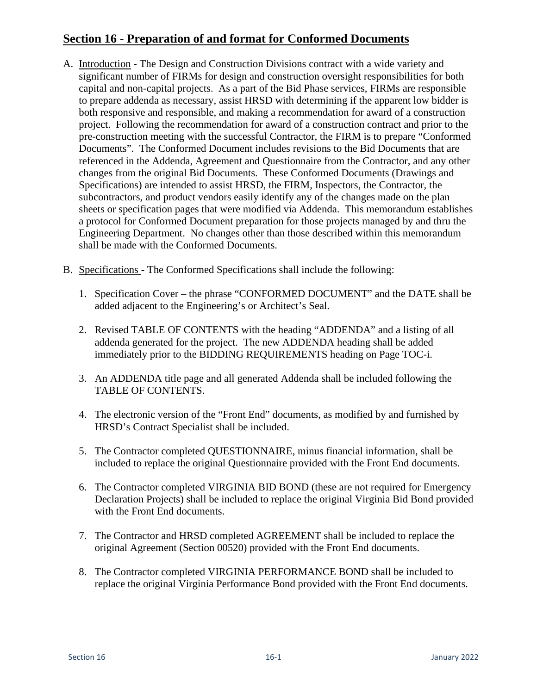## **Section 16 - Preparation of and format for Conformed Documents**

- A. Introduction The Design and Construction Divisions contract with a wide variety and significant number of FIRMs for design and construction oversight responsibilities for both capital and non-capital projects. As a part of the Bid Phase services, FIRMs are responsible to prepare addenda as necessary, assist HRSD with determining if the apparent low bidder is both responsive and responsible, and making a recommendation for award of a construction project. Following the recommendation for award of a construction contract and prior to the pre-construction meeting with the successful Contractor, the FIRM is to prepare "Conformed Documents". The Conformed Document includes revisions to the Bid Documents that are referenced in the Addenda, Agreement and Questionnaire from the Contractor, and any other changes from the original Bid Documents. These Conformed Documents (Drawings and Specifications) are intended to assist HRSD, the FIRM, Inspectors, the Contractor, the subcontractors, and product vendors easily identify any of the changes made on the plan sheets or specification pages that were modified via Addenda. This memorandum establishes a protocol for Conformed Document preparation for those projects managed by and thru the Engineering Department. No changes other than those described within this memorandum shall be made with the Conformed Documents.
- B. Specifications The Conformed Specifications shall include the following:
	- 1. Specification Cover the phrase "CONFORMED DOCUMENT" and the DATE shall be added adjacent to the Engineering's or Architect's Seal.
	- 2. Revised TABLE OF CONTENTS with the heading "ADDENDA" and a listing of all addenda generated for the project. The new ADDENDA heading shall be added immediately prior to the BIDDING REQUIREMENTS heading on Page TOC-i.
	- 3. An ADDENDA title page and all generated Addenda shall be included following the TABLE OF CONTENTS.
	- 4. The electronic version of the "Front End" documents, as modified by and furnished by HRSD's Contract Specialist shall be included.
	- 5. The Contractor completed QUESTIONNAIRE, minus financial information, shall be included to replace the original Questionnaire provided with the Front End documents.
	- 6. The Contractor completed VIRGINIA BID BOND (these are not required for Emergency Declaration Projects) shall be included to replace the original Virginia Bid Bond provided with the Front End documents.
	- 7. The Contractor and HRSD completed AGREEMENT shall be included to replace the original Agreement (Section 00520) provided with the Front End documents.
	- 8. The Contractor completed VIRGINIA PERFORMANCE BOND shall be included to replace the original Virginia Performance Bond provided with the Front End documents.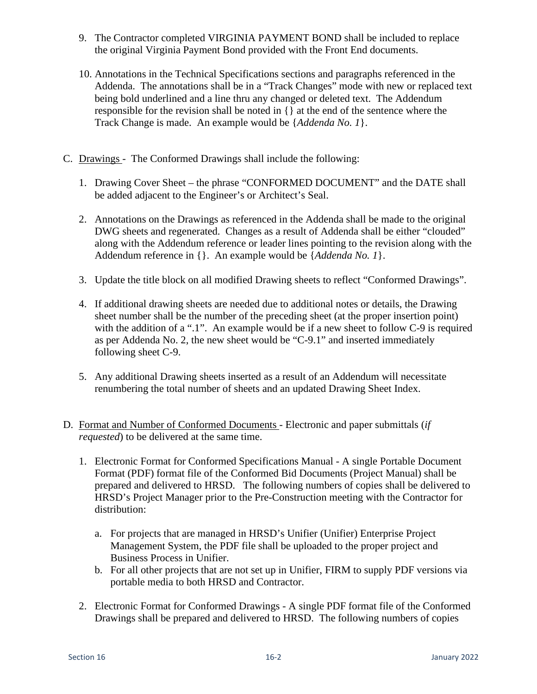- 9. The Contractor completed VIRGINIA PAYMENT BOND shall be included to replace the original Virginia Payment Bond provided with the Front End documents.
- 10. Annotations in the Technical Specifications sections and paragraphs referenced in the Addenda. The annotations shall be in a "Track Changes" mode with new or replaced text being bold underlined and a line thru any changed or deleted text. The Addendum responsible for the revision shall be noted in {} at the end of the sentence where the Track Change is made. An example would be {*Addenda No. 1*}.
- C. Drawings The Conformed Drawings shall include the following:
	- 1. Drawing Cover Sheet the phrase "CONFORMED DOCUMENT" and the DATE shall be added adjacent to the Engineer's or Architect's Seal.
	- 2. Annotations on the Drawings as referenced in the Addenda shall be made to the original DWG sheets and regenerated. Changes as a result of Addenda shall be either "clouded" along with the Addendum reference or leader lines pointing to the revision along with the Addendum reference in {}. An example would be {*Addenda No. 1*}.
	- 3. Update the title block on all modified Drawing sheets to reflect "Conformed Drawings".
	- 4. If additional drawing sheets are needed due to additional notes or details, the Drawing sheet number shall be the number of the preceding sheet (at the proper insertion point) with the addition of a ".1". An example would be if a new sheet to follow C-9 is required as per Addenda No. 2, the new sheet would be "C-9.1" and inserted immediately following sheet C-9.
	- 5. Any additional Drawing sheets inserted as a result of an Addendum will necessitate renumbering the total number of sheets and an updated Drawing Sheet Index.
- D. Format and Number of Conformed Documents Electronic and paper submittals (*if requested*) to be delivered at the same time.
	- 1. Electronic Format for Conformed Specifications Manual A single Portable Document Format (PDF) format file of the Conformed Bid Documents (Project Manual) shall be prepared and delivered to HRSD. The following numbers of copies shall be delivered to HRSD's Project Manager prior to the Pre-Construction meeting with the Contractor for distribution:
		- a. For projects that are managed in HRSD's Unifier (Unifier) Enterprise Project Management System, the PDF file shall be uploaded to the proper project and Business Process in Unifier.
		- b. For all other projects that are not set up in Unifier, FIRM to supply PDF versions via portable media to both HRSD and Contractor.
	- 2. Electronic Format for Conformed Drawings A single PDF format file of the Conformed Drawings shall be prepared and delivered to HRSD. The following numbers of copies